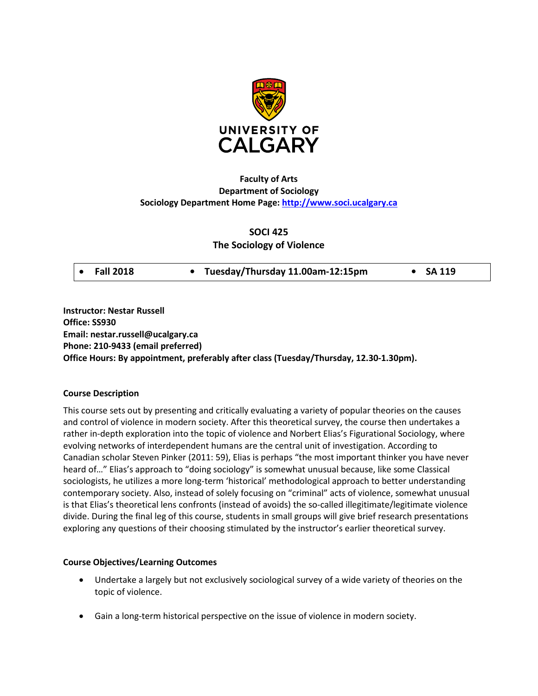

# **Faculty of Arts Department of Sociology Sociology Department Home Page: [http://www.soci.ucalgary.ca](http://www.soci.ucalgary.ca/)**

## **SOCI 425**

## **The Sociology of Violence**

| • Tuesday/Thursday 11.00am-12:15pm<br>$\bullet$ Fall 2018<br>$\bullet$ SA 119 |
|-------------------------------------------------------------------------------|
|-------------------------------------------------------------------------------|

**Instructor: Nestar Russell Office: SS930 Email: nestar.russell@ucalgary.ca Phone: 210-9433 (email preferred) Office Hours: By appointment, preferably after class (Tuesday/Thursday, 12.30-1.30pm).**

## **Course Description**

This course sets out by presenting and critically evaluating a variety of popular theories on the causes and control of violence in modern society. After this theoretical survey, the course then undertakes a rather in-depth exploration into the topic of violence and Norbert Elias's Figurational Sociology, where evolving networks of interdependent humans are the central unit of investigation. According to Canadian scholar Steven Pinker (2011: 59), Elias is perhaps "the most important thinker you have never heard of…" Elias's approach to "doing sociology" is somewhat unusual because, like some Classical sociologists, he utilizes a more long-term 'historical' methodological approach to better understanding contemporary society. Also, instead of solely focusing on "criminal" acts of violence, somewhat unusual is that Elias's theoretical lens confronts (instead of avoids) the so-called illegitimate/legitimate violence divide. During the final leg of this course, students in small groups will give brief research presentations exploring any questions of their choosing stimulated by the instructor's earlier theoretical survey.

## **Course Objectives/Learning Outcomes**

- Undertake a largely but not exclusively sociological survey of a wide variety of theories on the topic of violence.
- Gain a long-term historical perspective on the issue of violence in modern society.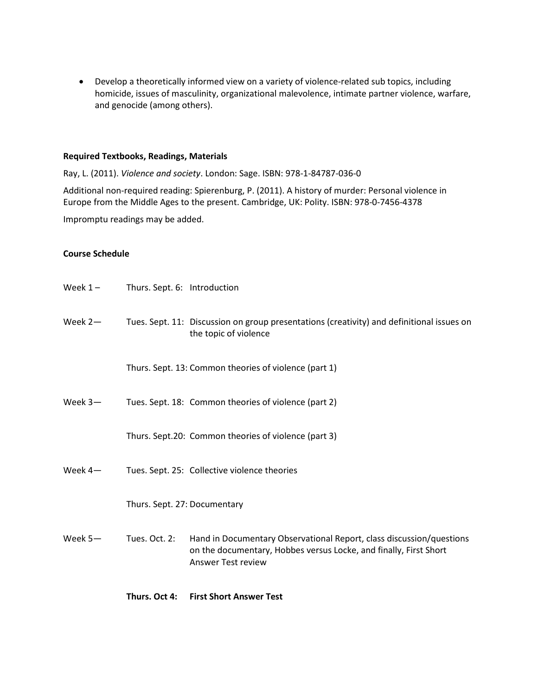• Develop a theoretically informed view on a variety of violence-related sub topics, including homicide, issues of masculinity, organizational malevolence, intimate partner violence, warfare, and genocide (among others).

#### **Required Textbooks, Readings, Materials**

Ray, L. (2011). *Violence and society*. London: Sage. ISBN: 978-1-84787-036-0

Additional non-required reading: Spierenburg, P. (2011). A history of murder: Personal violence in Europe from the Middle Ages to the present. Cambridge, UK: Polity. ISBN: 978-0-7456-4378

Impromptu readings may be added.

## **Course Schedule**

|            | Th 0.1 A.                    | . Float Chaut, American Tr                                                                                                                                             |  |  |  |
|------------|------------------------------|------------------------------------------------------------------------------------------------------------------------------------------------------------------------|--|--|--|
| Week $5-$  | Tues. Oct. 2:                | Hand in Documentary Observational Report, class discussion/questions<br>on the documentary, Hobbes versus Locke, and finally, First Short<br><b>Answer Test review</b> |  |  |  |
|            | Thurs. Sept. 27: Documentary |                                                                                                                                                                        |  |  |  |
| Week $4-$  |                              | Tues. Sept. 25: Collective violence theories                                                                                                                           |  |  |  |
|            |                              | Thurs. Sept.20: Common theories of violence (part 3)                                                                                                                   |  |  |  |
| Week $3-$  |                              | Tues. Sept. 18: Common theories of violence (part 2)                                                                                                                   |  |  |  |
|            |                              | Thurs. Sept. 13: Common theories of violence (part 1)                                                                                                                  |  |  |  |
| Week $2-$  |                              | Tues. Sept. 11: Discussion on group presentations (creativity) and definitional issues on<br>the topic of violence                                                     |  |  |  |
| Week $1 -$ | Thurs. Sept. 6: Introduction |                                                                                                                                                                        |  |  |  |

**Thurs. Oct 4: First Short Answer Test**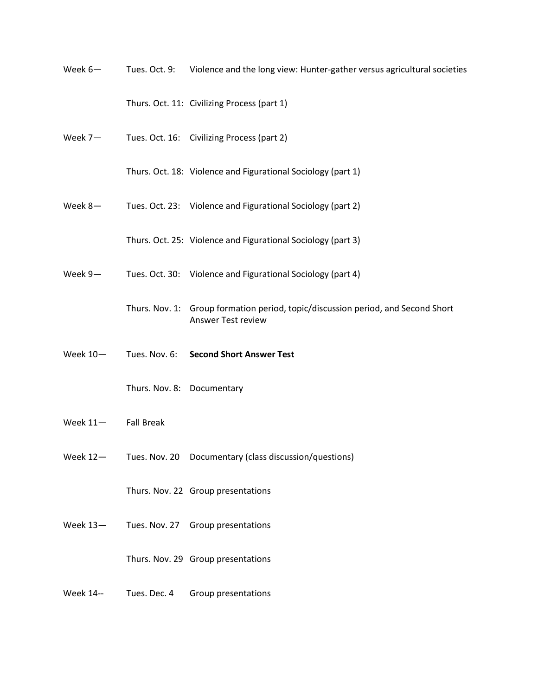Week 6— Tues. Oct. 9: Violence and the long view: Hunter-gather versus agricultural societies

Thurs. Oct. 11: Civilizing Process (part 1)

Week 7- Tues. Oct. 16: Civilizing Process (part 2)

Thurs. Oct. 18: Violence and Figurational Sociology (part 1)

Week 8- Tues. Oct. 23: Violence and Figurational Sociology (part 2)

Thurs. Oct. 25: Violence and Figurational Sociology (part 3)

- Week 9- Tues. Oct. 30: Violence and Figurational Sociology (part 4)
	- Thurs. Nov. 1: Group formation period, topic/discussion period, and Second Short Answer Test review
- Week 10— Tues. Nov. 6: **Second Short Answer Test**

Thurs. Nov. 8: Documentary

- Week 11— Fall Break
- Week 12— Tues. Nov. 20 Documentary (class discussion/questions)

Thurs. Nov. 22 Group presentations

Week 13-<br>Tues. Nov. 27 Group presentations

Thurs. Nov. 29 Group presentations

Week 14-- Tues. Dec. 4 Group presentations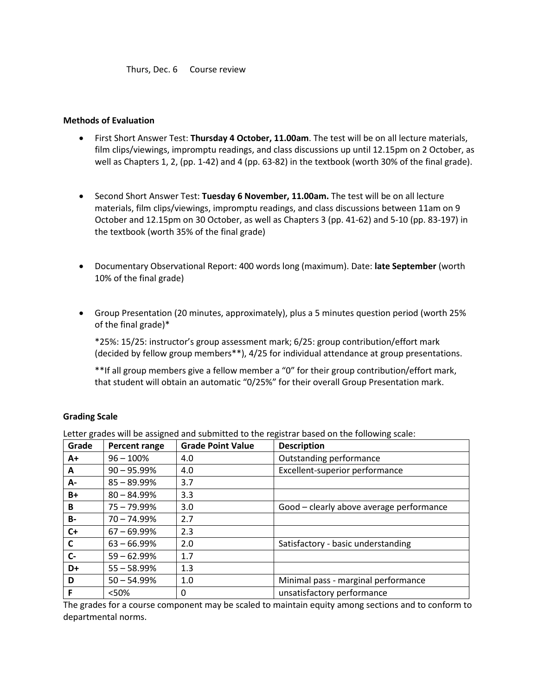Thurs, Dec. 6 Course review

### **Methods of Evaluation**

- First Short Answer Test: **Thursday 4 October, 11.00am**. The test will be on all lecture materials, film clips/viewings, impromptu readings, and class discussions up until 12.15pm on 2 October, as well as Chapters 1, 2, (pp. 1-42) and 4 (pp. 63-82) in the textbook (worth 30% of the final grade).
- Second Short Answer Test: **Tuesday 6 November, 11.00am.** The test will be on all lecture materials, film clips/viewings, impromptu readings, and class discussions between 11am on 9 October and 12.15pm on 30 October, as well as Chapters 3 (pp. 41-62) and 5-10 (pp. 83-197) in the textbook (worth 35% of the final grade)
- Documentary Observational Report: 400 words long (maximum). Date: **late September** (worth 10% of the final grade)
- Group Presentation (20 minutes, approximately), plus a 5 minutes question period (worth 25% of the final grade)\*

\*25%: 15/25: instructor's group assessment mark; 6/25: group contribution/effort mark (decided by fellow group members\*\*), 4/25 for individual attendance at group presentations.

\*\*If all group members give a fellow member a "0" for their group contribution/effort mark, that student will obtain an automatic "0/25%" for their overall Group Presentation mark.

#### **Grading Scale**

Letter grades will be assigned and submitted to the registrar based on the following scale:

| Grade     | Percent range  | <b>Grade Point Value</b> | <b>Description</b>                       |
|-----------|----------------|--------------------------|------------------------------------------|
| A+        | $96 - 100%$    | 4.0                      | Outstanding performance                  |
| A         | $90 - 95.99%$  | 4.0                      | Excellent-superior performance           |
| А-        | $85 - 89.99%$  | 3.7                      |                                          |
| $B+$      | $80 - 84.99\%$ | 3.3                      |                                          |
| B         | $75 - 79.99\%$ | 3.0                      | Good - clearly above average performance |
| <b>B-</b> | $70 - 74.99\%$ | 2.7                      |                                          |
| $C+$      | $67 - 69.99\%$ | 2.3                      |                                          |
| C         | $63 - 66.99\%$ | 2.0                      | Satisfactory - basic understanding       |
| $c-$      | $59 - 62.99%$  | 1.7                      |                                          |
| D+        | $55 - 58.99%$  | 1.3                      |                                          |
| D         | $50 - 54.99%$  | 1.0                      | Minimal pass - marginal performance      |
| F         | < 50%          | 0                        | unsatisfactory performance               |

The grades for a course component may be scaled to maintain equity among sections and to conform to departmental norms.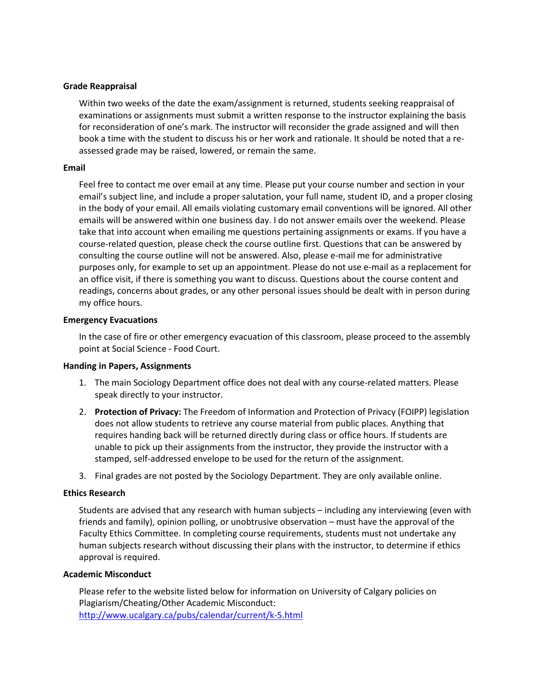## **Grade Reappraisal**

Within two weeks of the date the exam/assignment is returned, students seeking reappraisal of examinations or assignments must submit a written response to the instructor explaining the basis for reconsideration of one's mark. The instructor will reconsider the grade assigned and will then book a time with the student to discuss his or her work and rationale. It should be noted that a reassessed grade may be raised, lowered, or remain the same.

#### **Email**

Feel free to contact me over email at any time. Please put your course number and section in your email's subject line, and include a proper salutation, your full name, student ID, and a proper closing in the body of your email. All emails violating customary email conventions will be ignored. All other emails will be answered within one business day. I do not answer emails over the weekend. Please take that into account when emailing me questions pertaining assignments or exams. If you have a course-related question, please check the course outline first. Questions that can be answered by consulting the course outline will not be answered. Also, please e-mail me for administrative purposes only, for example to set up an appointment. Please do not use e-mail as a replacement for an office visit, if there is something you want to discuss. Questions about the course content and readings, concerns about grades, or any other personal issues should be dealt with in person during my office hours.

#### **Emergency Evacuations**

In the case of fire or other emergency evacuation of this classroom, please proceed to the assembly point at Social Science - Food Court.

#### **Handing in Papers, Assignments**

- 1. The main Sociology Department office does not deal with any course-related matters. Please speak directly to your instructor.
- 2. **Protection of Privacy:** The Freedom of Information and Protection of Privacy (FOIPP) legislation does not allow students to retrieve any course material from public places. Anything that requires handing back will be returned directly during class or office hours. If students are unable to pick up their assignments from the instructor, they provide the instructor with a stamped, self-addressed envelope to be used for the return of the assignment.
- 3. Final grades are not posted by the Sociology Department. They are only available online.

#### **Ethics Research**

Students are advised that any research with human subjects – including any interviewing (even with friends and family), opinion polling, or unobtrusive observation – must have the approval of the Faculty Ethics Committee. In completing course requirements, students must not undertake any human subjects research without discussing their plans with the instructor, to determine if ethics approval is required.

#### **Academic Misconduct**

Please refer to the website listed below for information on University of Calgary policies on Plagiarism/Cheating/Other Academic Misconduct: <http://www.ucalgary.ca/pubs/calendar/current/k-5.html>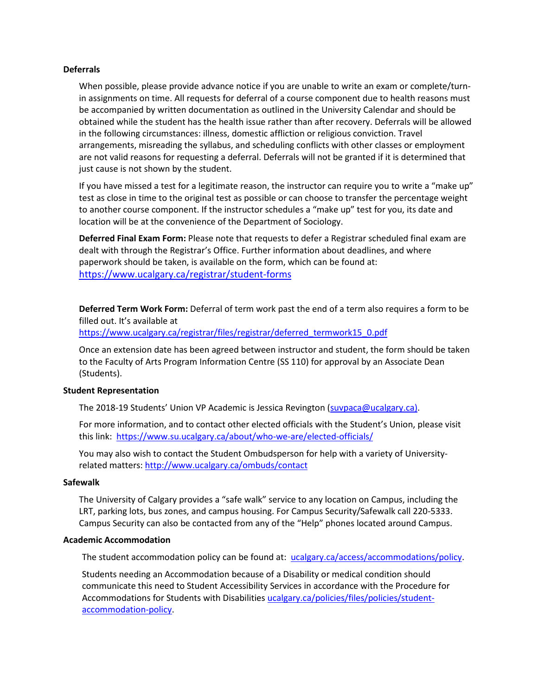#### **Deferrals**

When possible, please provide advance notice if you are unable to write an exam or complete/turnin assignments on time. All requests for deferral of a course component due to health reasons must be accompanied by written documentation as outlined in the University Calendar and should be obtained while the student has the health issue rather than after recovery. Deferrals will be allowed in the following circumstances: illness, domestic affliction or religious conviction. Travel arrangements, misreading the syllabus, and scheduling conflicts with other classes or employment are not valid reasons for requesting a deferral. Deferrals will not be granted if it is determined that just cause is not shown by the student.

If you have missed a test for a legitimate reason, the instructor can require you to write a "make up" test as close in time to the original test as possible or can choose to transfer the percentage weight to another course component. If the instructor schedules a "make up" test for you, its date and location will be at the convenience of the Department of Sociology.

**Deferred Final Exam Form:** Please note that requests to defer a Registrar scheduled final exam are dealt with through the Registrar's Office. Further information about deadlines, and where paperwork should be taken, is available on the form, which can be found at: <https://www.ucalgary.ca/registrar/student-forms>

**Deferred Term Work Form:** Deferral of term work past the end of a term also requires a form to be filled out. It's available at https://www.ucalgary.ca/registrar/files/registrar/deferred\_termwork15\_0.pdf

Once an extension date has been agreed between instructor and student, the form should be taken to the Faculty of Arts Program Information Centre (SS 110) for approval by an Associate Dean (Students).

#### **Student Representation**

The 2018-19 Students' Union VP Academic is Jessica Revington [\(suvpaca@ucalgary.ca\)](mailto:suvpaca@ucalgary.ca).

For more information, and to contact other elected officials with the Student's Union, please visit this link:<https://www.su.ucalgary.ca/about/who-we-are/elected-officials/>

You may also wish to contact the Student Ombudsperson for help with a variety of Universityrelated matters:<http://www.ucalgary.ca/ombuds/contact>

#### **Safewalk**

The University of Calgary provides a "safe walk" service to any location on Campus, including the LRT, parking lots, bus zones, and campus housing. For Campus Security/Safewalk call 220-5333. Campus Security can also be contacted from any of the "Help" phones located around Campus.

#### **Academic Accommodation**

The student accommodation policy can be found at: [ucalgary.ca/access/accommodations/policy.](http://www.ucalgary.ca/access/accommodations/policy)

Students needing an Accommodation because of a Disability or medical condition should communicate this need to Student Accessibility Services in accordance with the Procedure for Accommodations for Students with Disabilities [ucalgary.ca/policies/files/policies/student](http://www.ucalgary.ca/policies/files/policies/student-accommodation-policy.pdf)[accommodation-policy.](http://www.ucalgary.ca/policies/files/policies/student-accommodation-policy.pdf)